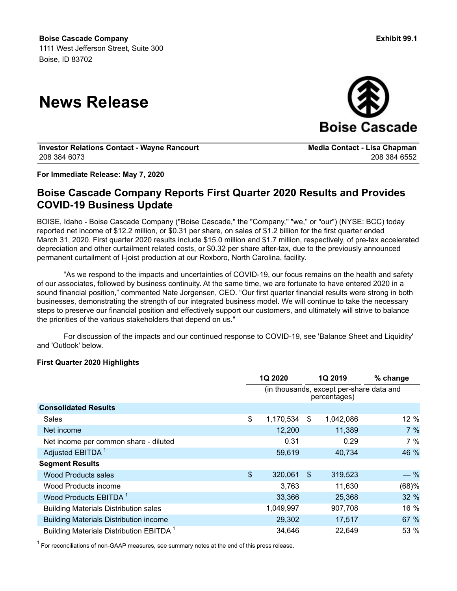# **News Release**



**Media Contact - Lisa Chapman**

**Investor Relations Contact - Wayne Rancourt** 208 384 6073

**For Immediate Release: May 7, 2020**

# **Boise Cascade Company Reports First Quarter 2020 Results and Provides COVID-19 Business Update**

BOISE, Idaho - Boise Cascade Company ("Boise Cascade," the "Company," "we," or "our") (NYSE: BCC) today reported net income of \$12.2 million, or \$0.31 per share, on sales of \$1.2 billion for the first quarter ended March 31, 2020. First quarter 2020 results include \$15.0 million and \$1.7 million, respectively, of pre-tax accelerated depreciation and other curtailment related costs, or \$0.32 per share after-tax, due to the previously announced permanent curtailment of I-joist production at our Roxboro, North Carolina, facility.

"As we respond to the impacts and uncertainties of COVID-19, our focus remains on the health and safety of our associates, followed by business continuity. At the same time, we are fortunate to have entered 2020 in a sound financial position," commented Nate Jorgensen, CEO. "Our first quarter financial results were strong in both businesses, demonstrating the strength of our integrated business model. We will continue to take the necessary steps to preserve our financial position and effectively support our customers, and ultimately will strive to balance the priorities of the various stakeholders that depend on us."

For discussion of the impacts and our continued response to COVID-19, see 'Balance Sheet and Liquidity' and 'Outlook' below.

#### **First Quarter 2020 Highlights**

|                                                     |               | 1Q 2020                                                  |    | 1Q 2019   | % change |  |  |
|-----------------------------------------------------|---------------|----------------------------------------------------------|----|-----------|----------|--|--|
|                                                     |               | (in thousands, except per-share data and<br>percentages) |    |           |          |  |  |
| <b>Consolidated Results</b>                         |               |                                                          |    |           |          |  |  |
| Sales                                               | \$            | 1,170,534                                                | \$ | 1,042,086 | 12 %     |  |  |
| Net income                                          |               | 12,200                                                   |    | 11,389    | 7%       |  |  |
| Net income per common share - diluted               |               | 0.31                                                     |    | 0.29      | 7%       |  |  |
| Adjusted EBITDA <sup>1</sup>                        |               | 59,619                                                   |    | 40,734    | 46 %     |  |  |
| <b>Segment Results</b>                              |               |                                                          |    |           |          |  |  |
| <b>Wood Products sales</b>                          | $\frac{1}{2}$ | 320,061                                                  | \$ | 319,523   | $-$ %    |  |  |
| Wood Products income                                |               | 3,763                                                    |    | 11,630    | (68)%    |  |  |
| Wood Products EBITDA <sup>1</sup>                   |               | 33,366                                                   |    | 25,368    | 32 %     |  |  |
| <b>Building Materials Distribution sales</b>        |               | 1,049,997                                                |    | 907,708   | 16 %     |  |  |
| <b>Building Materials Distribution income</b>       |               | 29,302                                                   |    | 17,517    | 67 %     |  |  |
| Building Materials Distribution EBITDA <sup>1</sup> |               | 34,646                                                   |    | 22,649    | 53 %     |  |  |

 $1$  For reconciliations of non-GAAP measures, see summary notes at the end of this press release.

208 384 6552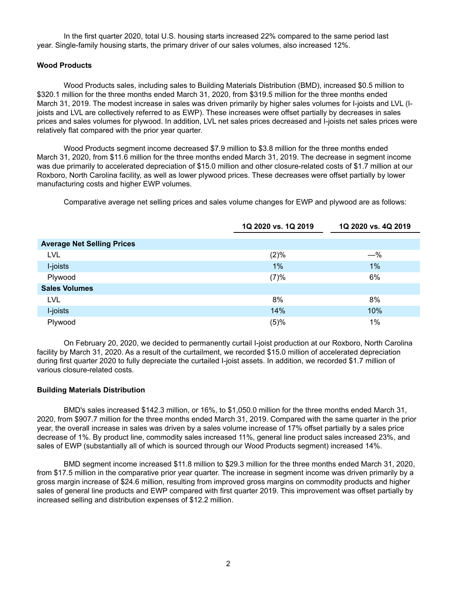In the first quarter 2020, total U.S. housing starts increased 22% compared to the same period last year. Single-family housing starts, the primary driver of our sales volumes, also increased 12%.

#### **Wood Products**

Wood Products sales, including sales to Building Materials Distribution (BMD), increased \$0.5 million to \$320.1 million for the three months ended March 31, 2020, from \$319.5 million for the three months ended March 31, 2019. The modest increase in sales was driven primarily by higher sales volumes for I-joists and LVL (Ijoists and LVL are collectively referred to as EWP). These increases were offset partially by decreases in sales prices and sales volumes for plywood. In addition, LVL net sales prices decreased and I-joists net sales prices were relatively flat compared with the prior year quarter.

Wood Products segment income decreased \$7.9 million to \$3.8 million for the three months ended March 31, 2020, from \$11.6 million for the three months ended March 31, 2019. The decrease in segment income was due primarily to accelerated depreciation of \$15.0 million and other closure-related costs of \$1.7 million at our Roxboro, North Carolina facility, as well as lower plywood prices. These decreases were offset partially by lower manufacturing costs and higher EWP volumes.

Comparative average net selling prices and sales volume changes for EWP and plywood are as follows:

|                                   | 1Q 2020 vs. 1Q 2019 | 1Q 2020 vs. 4Q 2019 |
|-----------------------------------|---------------------|---------------------|
| <b>Average Net Selling Prices</b> |                     |                     |
| <b>LVL</b>                        | (2)%                | $-\%$               |
| I-joists                          | 1%                  | 1%                  |
| Plywood                           | (7)%                | 6%                  |
| <b>Sales Volumes</b>              |                     |                     |
| LVL                               | 8%                  | 8%                  |
| I-joists                          | 14%                 | 10%                 |
| Plywood                           | (5)%                | 1%                  |

On February 20, 2020, we decided to permanently curtail I-joist production at our Roxboro, North Carolina facility by March 31, 2020. As a result of the curtailment, we recorded \$15.0 million of accelerated depreciation during first quarter 2020 to fully depreciate the curtailed I-joist assets. In addition, we recorded \$1.7 million of various closure-related costs.

#### **Building Materials Distribution**

BMD's sales increased \$142.3 million, or 16%, to \$1,050.0 million for the three months ended March 31, 2020, from \$907.7 million for the three months ended March 31, 2019. Compared with the same quarter in the prior year, the overall increase in sales was driven by a sales volume increase of 17% offset partially by a sales price decrease of 1%. By product line, commodity sales increased 11%, general line product sales increased 23%, and sales of EWP (substantially all of which is sourced through our Wood Products segment) increased 14%.

BMD segment income increased \$11.8 million to \$29.3 million for the three months ended March 31, 2020, from \$17.5 million in the comparative prior year quarter. The increase in segment income was driven primarily by a gross margin increase of \$24.6 million, resulting from improved gross margins on commodity products and higher sales of general line products and EWP compared with first quarter 2019. This improvement was offset partially by increased selling and distribution expenses of \$12.2 million.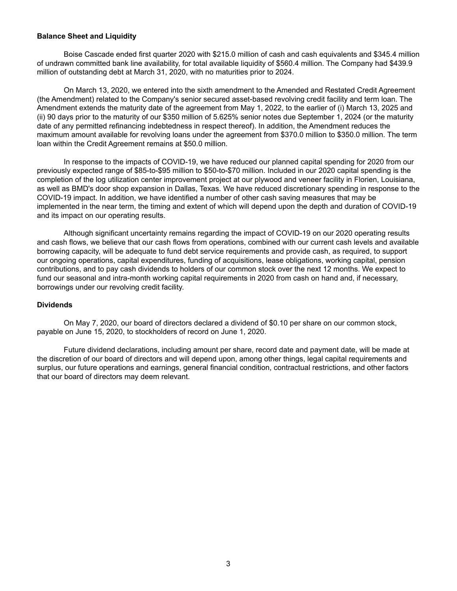#### **Balance Sheet and Liquidity**

Boise Cascade ended first quarter 2020 with \$215.0 million of cash and cash equivalents and \$345.4 million of undrawn committed bank line availability, for total available liquidity of \$560.4 million. The Company had \$439.9 million of outstanding debt at March 31, 2020, with no maturities prior to 2024.

On March 13, 2020, we entered into the sixth amendment to the Amended and Restated Credit Agreement (the Amendment) related to the Company's senior secured asset-based revolving credit facility and term loan. The Amendment extends the maturity date of the agreement from May 1, 2022, to the earlier of (i) March 13, 2025 and (ii) 90 days prior to the maturity of our \$350 million of 5.625% senior notes due September 1, 2024 (or the maturity date of any permitted refinancing indebtedness in respect thereof). In addition, the Amendment reduces the maximum amount available for revolving loans under the agreement from \$370.0 million to \$350.0 million. The term loan within the Credit Agreement remains at \$50.0 million.

In response to the impacts of COVID-19, we have reduced our planned capital spending for 2020 from our previously expected range of \$85-to-\$95 million to \$50-to-\$70 million. Included in our 2020 capital spending is the completion of the log utilization center improvement project at our plywood and veneer facility in Florien, Louisiana, as well as BMD's door shop expansion in Dallas, Texas. We have reduced discretionary spending in response to the COVID-19 impact. In addition, we have identified a number of other cash saving measures that may be implemented in the near term, the timing and extent of which will depend upon the depth and duration of COVID-19 and its impact on our operating results.

Although significant uncertainty remains regarding the impact of COVID-19 on our 2020 operating results and cash flows, we believe that our cash flows from operations, combined with our current cash levels and available borrowing capacity, will be adequate to fund debt service requirements and provide cash, as required, to support our ongoing operations, capital expenditures, funding of acquisitions, lease obligations, working capital, pension contributions, and to pay cash dividends to holders of our common stock over the next 12 months. We expect to fund our seasonal and intra-month working capital requirements in 2020 from cash on hand and, if necessary, borrowings under our revolving credit facility.

#### **Dividends**

On May 7, 2020, our board of directors declared a dividend of \$0.10 per share on our common stock, payable on June 15, 2020, to stockholders of record on June 1, 2020.

Future dividend declarations, including amount per share, record date and payment date, will be made at the discretion of our board of directors and will depend upon, among other things, legal capital requirements and surplus, our future operations and earnings, general financial condition, contractual restrictions, and other factors that our board of directors may deem relevant.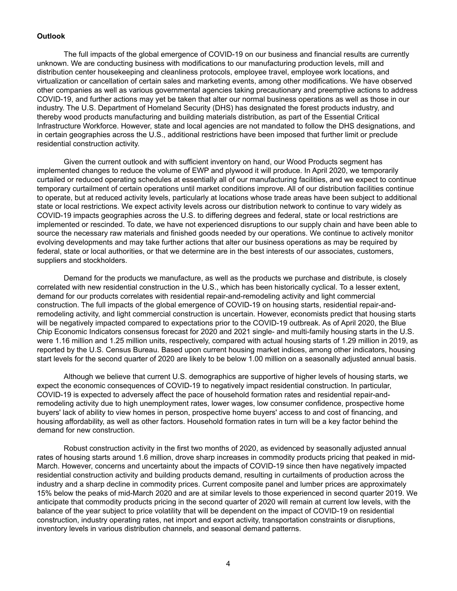#### **Outlook**

The full impacts of the global emergence of COVID-19 on our business and financial results are currently unknown. We are conducting business with modifications to our manufacturing production levels, mill and distribution center housekeeping and cleanliness protocols, employee travel, employee work locations, and virtualization or cancellation of certain sales and marketing events, among other modifications. We have observed other companies as well as various governmental agencies taking precautionary and preemptive actions to address COVID-19, and further actions may yet be taken that alter our normal business operations as well as those in our industry. The U.S. Department of Homeland Security (DHS) has designated the forest products industry, and thereby wood products manufacturing and building materials distribution, as part of the Essential Critical Infrastructure Workforce. However, state and local agencies are not mandated to follow the DHS designations, and in certain geographies across the U.S., additional restrictions have been imposed that further limit or preclude residential construction activity.

Given the current outlook and with sufficient inventory on hand, our Wood Products segment has implemented changes to reduce the volume of EWP and plywood it will produce. In April 2020, we temporarily curtailed or reduced operating schedules at essentially all of our manufacturing facilities, and we expect to continue temporary curtailment of certain operations until market conditions improve. All of our distribution facilities continue to operate, but at reduced activity levels, particularly at locations whose trade areas have been subject to additional state or local restrictions. We expect activity levels across our distribution network to continue to vary widely as COVID-19 impacts geographies across the U.S. to differing degrees and federal, state or local restrictions are implemented or rescinded. To date, we have not experienced disruptions to our supply chain and have been able to source the necessary raw materials and finished goods needed by our operations. We continue to actively monitor evolving developments and may take further actions that alter our business operations as may be required by federal, state or local authorities, or that we determine are in the best interests of our associates, customers, suppliers and stockholders.

Demand for the products we manufacture, as well as the products we purchase and distribute, is closely correlated with new residential construction in the U.S., which has been historically cyclical. To a lesser extent, demand for our products correlates with residential repair-and-remodeling activity and light commercial construction. The full impacts of the global emergence of COVID-19 on housing starts, residential repair-andremodeling activity, and light commercial construction is uncertain. However, economists predict that housing starts will be negatively impacted compared to expectations prior to the COVID-19 outbreak. As of April 2020, the Blue Chip Economic Indicators consensus forecast for 2020 and 2021 single- and multi-family housing starts in the U.S. were 1.16 million and 1.25 million units, respectively, compared with actual housing starts of 1.29 million in 2019, as reported by the U.S. Census Bureau. Based upon current housing market indices, among other indicators, housing start levels for the second quarter of 2020 are likely to be below 1.00 million on a seasonally adjusted annual basis.

Although we believe that current U.S. demographics are supportive of higher levels of housing starts, we expect the economic consequences of COVID-19 to negatively impact residential construction. In particular, COVID-19 is expected to adversely affect the pace of household formation rates and residential repair-andremodeling activity due to high unemployment rates, lower wages, low consumer confidence, prospective home buyers' lack of ability to view homes in person, prospective home buyers' access to and cost of financing, and housing affordability, as well as other factors. Household formation rates in turn will be a key factor behind the demand for new construction.

Robust construction activity in the first two months of 2020, as evidenced by seasonally adjusted annual rates of housing starts around 1.6 million, drove sharp increases in commodity products pricing that peaked in mid-March. However, concerns and uncertainty about the impacts of COVID-19 since then have negatively impacted residential construction activity and building products demand, resulting in curtailments of production across the industry and a sharp decline in commodity prices. Current composite panel and lumber prices are approximately 15% below the peaks of mid-March 2020 and are at similar levels to those experienced in second quarter 2019. We anticipate that commodity products pricing in the second quarter of 2020 will remain at current low levels, with the balance of the year subject to price volatility that will be dependent on the impact of COVID-19 on residential construction, industry operating rates, net import and export activity, transportation constraints or disruptions, inventory levels in various distribution channels, and seasonal demand patterns.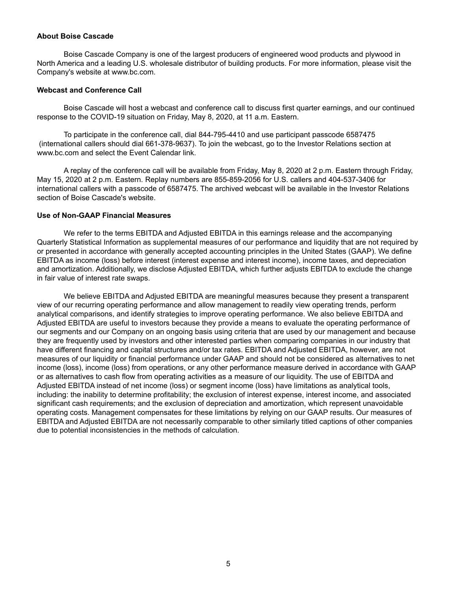#### **About Boise Cascade**

Boise Cascade Company is one of the largest producers of engineered wood products and plywood in North America and a leading U.S. wholesale distributor of building products. For more information, please visit the Company's website at www.bc.com.

#### **Webcast and Conference Call**

Boise Cascade will host a webcast and conference call to discuss first quarter earnings, and our continued response to the COVID-19 situation on Friday, May 8, 2020, at 11 a.m. Eastern.

To participate in the conference call, dial 844-795-4410 and use participant passcode 6587475 (international callers should dial 661-378-9637). To join the webcast, go to the Investor Relations section at www.bc.com and select the Event Calendar link.

A replay of the conference call will be available from Friday, May 8, 2020 at 2 p.m. Eastern through Friday, May 15, 2020 at 2 p.m. Eastern. Replay numbers are 855-859-2056 for U.S. callers and 404-537-3406 for international callers with a passcode of 6587475. The archived webcast will be available in the Investor Relations section of Boise Cascade's website.

#### **Use of Non-GAAP Financial Measures**

We refer to the terms EBITDA and Adjusted EBITDA in this earnings release and the accompanying Quarterly Statistical Information as supplemental measures of our performance and liquidity that are not required by or presented in accordance with generally accepted accounting principles in the United States (GAAP). We define EBITDA as income (loss) before interest (interest expense and interest income), income taxes, and depreciation and amortization. Additionally, we disclose Adjusted EBITDA, which further adjusts EBITDA to exclude the change in fair value of interest rate swaps.

We believe EBITDA and Adjusted EBITDA are meaningful measures because they present a transparent view of our recurring operating performance and allow management to readily view operating trends, perform analytical comparisons, and identify strategies to improve operating performance. We also believe EBITDA and Adjusted EBITDA are useful to investors because they provide a means to evaluate the operating performance of our segments and our Company on an ongoing basis using criteria that are used by our management and because they are frequently used by investors and other interested parties when comparing companies in our industry that have different financing and capital structures and/or tax rates. EBITDA and Adjusted EBITDA, however, are not measures of our liquidity or financial performance under GAAP and should not be considered as alternatives to net income (loss), income (loss) from operations, or any other performance measure derived in accordance with GAAP or as alternatives to cash flow from operating activities as a measure of our liquidity. The use of EBITDA and Adjusted EBITDA instead of net income (loss) or segment income (loss) have limitations as analytical tools, including: the inability to determine profitability; the exclusion of interest expense, interest income, and associated significant cash requirements; and the exclusion of depreciation and amortization, which represent unavoidable operating costs. Management compensates for these limitations by relying on our GAAP results. Our measures of EBITDA and Adjusted EBITDA are not necessarily comparable to other similarly titled captions of other companies due to potential inconsistencies in the methods of calculation.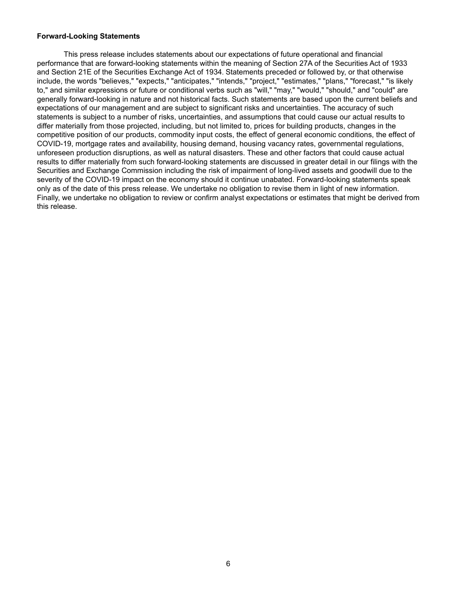#### **Forward-Looking Statements**

This press release includes statements about our expectations of future operational and financial performance that are forward-looking statements within the meaning of Section 27A of the Securities Act of 1933 and Section 21E of the Securities Exchange Act of 1934. Statements preceded or followed by, or that otherwise include, the words "believes," "expects," "anticipates," "intends," "project," "estimates," "plans," "forecast," "is likely to," and similar expressions or future or conditional verbs such as "will," "may," "would," "should," and "could" are generally forward-looking in nature and not historical facts. Such statements are based upon the current beliefs and expectations of our management and are subject to significant risks and uncertainties. The accuracy of such statements is subject to a number of risks, uncertainties, and assumptions that could cause our actual results to differ materially from those projected, including, but not limited to, prices for building products, changes in the competitive position of our products, commodity input costs, the effect of general economic conditions, the effect of COVID-19, mortgage rates and availability, housing demand, housing vacancy rates, governmental regulations, unforeseen production disruptions, as well as natural disasters. These and other factors that could cause actual results to differ materially from such forward-looking statements are discussed in greater detail in our filings with the Securities and Exchange Commission including the risk of impairment of long-lived assets and goodwill due to the severity of the COVID-19 impact on the economy should it continue unabated. Forward-looking statements speak only as of the date of this press release. We undertake no obligation to revise them in light of new information. Finally, we undertake no obligation to review or confirm analyst expectations or estimates that might be derived from this release.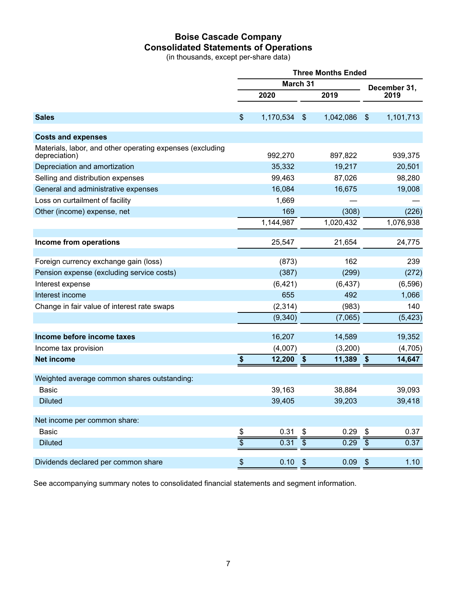# **Boise Cascade Company Consolidated Statements of Operations**

(in thousands, except per-share data)

|                                                                            | <b>Three Months Ended</b> |           |                           |           |                             |           |
|----------------------------------------------------------------------------|---------------------------|-----------|---------------------------|-----------|-----------------------------|-----------|
|                                                                            |                           | March 31  |                           |           | December 31,                |           |
|                                                                            |                           | 2020      |                           | 2019      |                             | 2019      |
| <b>Sales</b>                                                               | $\$\$                     | 1,170,534 | $\$\$                     | 1,042,086 | $\sqrt[6]{\frac{1}{2}}$     | 1,101,713 |
| <b>Costs and expenses</b>                                                  |                           |           |                           |           |                             |           |
| Materials, labor, and other operating expenses (excluding<br>depreciation) |                           | 992,270   |                           | 897,822   |                             | 939,375   |
| Depreciation and amortization                                              |                           | 35,332    |                           | 19,217    |                             | 20,501    |
| Selling and distribution expenses                                          |                           | 99,463    |                           | 87,026    |                             | 98,280    |
| General and administrative expenses                                        |                           | 16,084    |                           | 16,675    |                             | 19,008    |
| Loss on curtailment of facility                                            |                           | 1,669     |                           |           |                             |           |
| Other (income) expense, net                                                |                           | 169       |                           | (308)     |                             | (226)     |
|                                                                            |                           | 1,144,987 |                           | 1,020,432 |                             | 1,076,938 |
| Income from operations                                                     |                           | 25,547    |                           | 21,654    |                             | 24,775    |
| Foreign currency exchange gain (loss)                                      |                           | (873)     |                           | 162       |                             | 239       |
| Pension expense (excluding service costs)                                  |                           | (387)     |                           | (299)     |                             | (272)     |
| Interest expense                                                           |                           | (6,421)   |                           | (6, 437)  |                             | (6, 596)  |
| Interest income                                                            |                           | 655       |                           | 492       |                             | 1,066     |
| Change in fair value of interest rate swaps                                |                           | (2, 314)  |                           | (983)     |                             | 140       |
|                                                                            |                           | (9,340)   |                           | (7,065)   |                             | (5, 423)  |
| Income before income taxes                                                 |                           | 16,207    |                           | 14,589    |                             | 19,352    |
| Income tax provision                                                       |                           | (4,007)   |                           | (3,200)   |                             | (4,705)   |
| <b>Net income</b>                                                          | \$                        | 12,200    | \$                        | 11,389    | $\boldsymbol{\hat{\theta}}$ | 14,647    |
| Weighted average common shares outstanding:                                |                           |           |                           |           |                             |           |
| <b>Basic</b>                                                               |                           | 39,163    |                           | 38,884    |                             | 39,093    |
| <b>Diluted</b>                                                             |                           | 39,405    |                           | 39,203    |                             | 39,418    |
| Net income per common share:                                               |                           |           |                           |           |                             |           |
| <b>Basic</b>                                                               |                           | 0.31      | \$                        | 0.29      | $\boldsymbol{\mathsf{\$}}$  | 0.37      |
| <b>Diluted</b>                                                             | $\frac{6}{9}$             | 0.31      | $\overline{\mathcal{E}}$  | 0.29      | $\overline{\mathcal{L}}$    | 0.37      |
| Dividends declared per common share                                        | $\frac{1}{2}$             | 0.10      | $\boldsymbol{\mathsf{S}}$ | 0.09      | $\boldsymbol{\mathsf{S}}$   | 1.10      |

See accompanying summary notes to consolidated financial statements and segment information.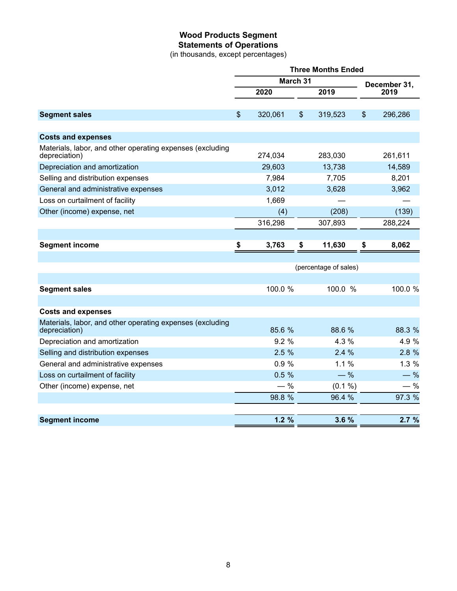### **Wood Products Segment Statements of Operations**

(in thousands, except percentages)

|                                                                            | <b>Three Months Ended</b> |         |          |                       |               |         |
|----------------------------------------------------------------------------|---------------------------|---------|----------|-----------------------|---------------|---------|
|                                                                            |                           |         | March 31 |                       | December 31,  |         |
|                                                                            |                           | 2020    |          | 2019                  |               | 2019    |
|                                                                            |                           |         |          |                       |               |         |
| <b>Segment sales</b>                                                       | \$                        | 320,061 | \$       | 319,523               | $\frac{2}{3}$ | 296,286 |
|                                                                            |                           |         |          |                       |               |         |
| <b>Costs and expenses</b>                                                  |                           |         |          |                       |               |         |
| Materials, labor, and other operating expenses (excluding<br>depreciation) |                           | 274,034 |          | 283,030               |               | 261,611 |
| Depreciation and amortization                                              |                           | 29,603  |          | 13,738                |               | 14,589  |
| Selling and distribution expenses                                          |                           | 7,984   |          | 7,705                 |               | 8,201   |
| General and administrative expenses                                        |                           | 3,012   |          | 3,628                 |               | 3,962   |
| Loss on curtailment of facility                                            |                           | 1,669   |          |                       |               |         |
| Other (income) expense, net                                                |                           | (4)     |          | (208)                 |               | (139)   |
|                                                                            |                           | 316,298 |          | 307,893               |               | 288,224 |
|                                                                            |                           |         |          |                       |               |         |
| <b>Segment income</b>                                                      | \$                        | 3,763   | \$       | 11,630                | \$            | 8,062   |
|                                                                            |                           |         |          |                       |               |         |
|                                                                            |                           |         |          | (percentage of sales) |               |         |
|                                                                            |                           |         |          |                       |               |         |
| <b>Segment sales</b>                                                       |                           | 100.0 % |          | 100.0 %               |               | 100.0 % |
|                                                                            |                           |         |          |                       |               |         |
| <b>Costs and expenses</b>                                                  |                           |         |          |                       |               |         |
| Materials, labor, and other operating expenses (excluding<br>depreciation) |                           | 85.6 %  |          | 88.6%                 |               | 88.3 %  |
| Depreciation and amortization                                              |                           | 9.2%    |          | 4.3 %                 |               | 4.9 %   |
| Selling and distribution expenses                                          |                           | 2.5%    |          | 2.4%                  |               | 2.8 %   |
| General and administrative expenses                                        |                           | 0.9%    |          | 1.1%                  |               | 1.3%    |
| Loss on curtailment of facility                                            |                           | 0.5%    |          | $-$ %                 |               | $-$ %   |
| Other (income) expense, net                                                |                           | $-$ %   |          | (0.1 %)               |               | $-$ %   |
|                                                                            |                           | 98.8 %  |          | 96.4 %                |               | 97.3 %  |
|                                                                            |                           |         |          |                       |               |         |
| <b>Segment income</b>                                                      |                           | 1.2%    |          | 3.6%                  |               | 2.7%    |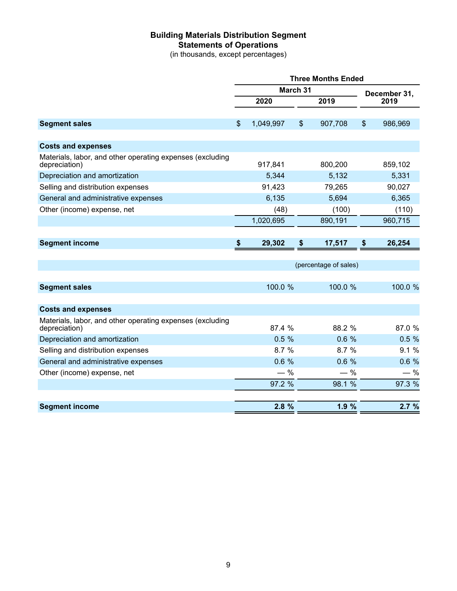### **Building Materials Distribution Segment Statements of Operations**

(in thousands, except percentages)

|                                                                            |              | <b>Three Months Ended</b> |              |                       |                |         |  |
|----------------------------------------------------------------------------|--------------|---------------------------|--------------|-----------------------|----------------|---------|--|
|                                                                            |              |                           | March 31     |                       | December 31,   |         |  |
|                                                                            |              | 2020                      |              | 2019                  |                | 2019    |  |
|                                                                            |              |                           |              |                       |                |         |  |
| <b>Segment sales</b>                                                       | $\mathbb{S}$ | 1,049,997                 | $\mathbb{S}$ | 907,708               | $\mathfrak{S}$ | 986,969 |  |
|                                                                            |              |                           |              |                       |                |         |  |
| <b>Costs and expenses</b>                                                  |              |                           |              |                       |                |         |  |
| Materials, labor, and other operating expenses (excluding<br>depreciation) |              | 917,841                   |              | 800,200               |                | 859,102 |  |
| Depreciation and amortization                                              |              | 5,344                     |              | 5,132                 |                | 5,331   |  |
| Selling and distribution expenses                                          |              | 91,423                    |              | 79,265                |                | 90,027  |  |
| General and administrative expenses                                        |              | 6,135                     |              | 5,694                 |                | 6,365   |  |
| Other (income) expense, net                                                |              | (48)                      |              | (100)                 |                | (110)   |  |
|                                                                            |              | 1,020,695                 |              | 890,191               |                | 960,715 |  |
|                                                                            |              |                           |              |                       |                |         |  |
| <b>Segment income</b>                                                      | \$           | 29,302                    | \$           | 17,517                | \$             | 26,254  |  |
|                                                                            |              |                           |              |                       |                |         |  |
|                                                                            |              |                           |              | (percentage of sales) |                |         |  |
|                                                                            |              |                           |              |                       |                |         |  |
| <b>Segment sales</b>                                                       |              | 100.0 %                   |              | 100.0 %               |                | 100.0 % |  |
|                                                                            |              |                           |              |                       |                |         |  |
| <b>Costs and expenses</b>                                                  |              |                           |              |                       |                |         |  |
| Materials, labor, and other operating expenses (excluding                  |              |                           |              |                       |                |         |  |
| depreciation)                                                              |              | 87.4 %                    |              | 88.2 %                |                | 87.0 %  |  |
| Depreciation and amortization                                              |              | 0.5%                      |              | 0.6%                  |                | 0.5%    |  |
| Selling and distribution expenses                                          |              | 8.7 %                     |              | 8.7 %                 |                | 9.1%    |  |
| General and administrative expenses                                        |              | 0.6%                      |              | 0.6%                  |                | 0.6%    |  |
| Other (income) expense, net                                                |              | $-$ %                     |              | $-$ %                 |                | $-$ %   |  |
|                                                                            |              | 97.2 %                    |              | 98.1 %                |                | 97.3 %  |  |
| <b>Segment income</b>                                                      |              | 2.8%                      |              | 1.9%                  |                | 2.7%    |  |
|                                                                            |              |                           |              |                       |                |         |  |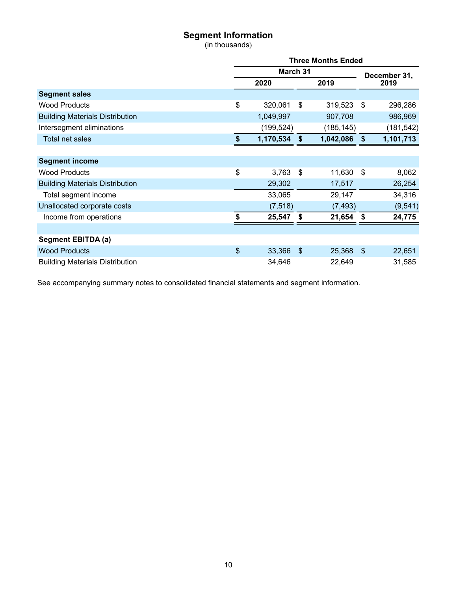# **Segment Information**

(in thousands)

|                                        | <b>Three Months Ended</b> |     |            |              |            |  |  |
|----------------------------------------|---------------------------|-----|------------|--------------|------------|--|--|
|                                        | March 31                  |     |            | December 31, |            |  |  |
|                                        | 2020                      |     | 2019       |              | 2019       |  |  |
| <b>Segment sales</b>                   |                           |     |            |              |            |  |  |
| <b>Wood Products</b>                   | \$<br>320,061             | \$  | 319,523    | \$           | 296,286    |  |  |
| <b>Building Materials Distribution</b> | 1,049,997                 |     | 907,708    |              | 986,969    |  |  |
| Intersegment eliminations              | (199, 524)                |     | (185, 145) |              | (181, 542) |  |  |
| Total net sales                        | \$<br>1,170,534           | \$  | 1,042,086  | \$           | 1,101,713  |  |  |
|                                        |                           |     |            |              |            |  |  |
| <b>Segment income</b>                  |                           |     |            |              |            |  |  |
| <b>Wood Products</b>                   | \$<br>3,763               | -\$ | 11,630     | -\$          | 8,062      |  |  |
| <b>Building Materials Distribution</b> | 29,302                    |     | 17,517     |              | 26,254     |  |  |
| Total segment income                   | 33,065                    |     | 29,147     |              | 34,316     |  |  |
| Unallocated corporate costs            | (7, 518)                  |     | (7, 493)   |              | (9, 541)   |  |  |
| Income from operations                 | 25,547                    | \$  | 21,654     | \$           | 24,775     |  |  |
|                                        |                           |     |            |              |            |  |  |
| Segment EBITDA (a)                     |                           |     |            |              |            |  |  |
| <b>Wood Products</b>                   | \$<br>33,366              | \$  | 25,368     | -\$          | 22,651     |  |  |
| <b>Building Materials Distribution</b> | 34,646                    |     | 22,649     |              | 31,585     |  |  |

See accompanying summary notes to consolidated financial statements and segment information.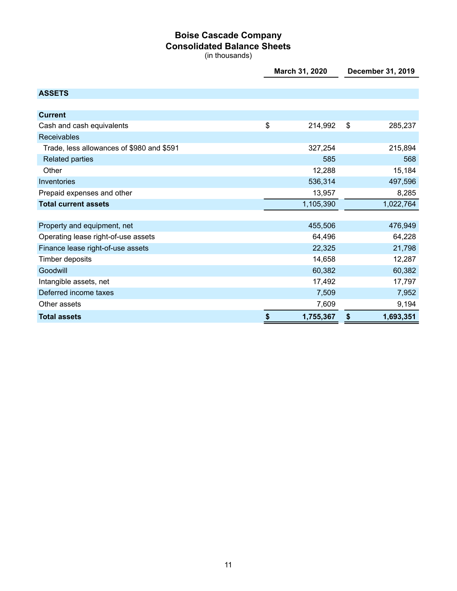# **Boise Cascade Company Consolidated Balance Sheets**

(in thousands)

|                                           | March 31, 2020  | December 31, 2019 |           |  |
|-------------------------------------------|-----------------|-------------------|-----------|--|
|                                           |                 |                   |           |  |
| <b>ASSETS</b>                             |                 |                   |           |  |
|                                           |                 |                   |           |  |
| <b>Current</b>                            |                 |                   |           |  |
| Cash and cash equivalents                 | \$<br>214,992   | \$                | 285,237   |  |
| Receivables                               |                 |                   |           |  |
| Trade, less allowances of \$980 and \$591 | 327,254         |                   | 215,894   |  |
| <b>Related parties</b>                    | 585             |                   | 568       |  |
| Other                                     | 12,288          |                   | 15,184    |  |
| Inventories                               | 536,314         |                   | 497,596   |  |
| Prepaid expenses and other                | 13,957          |                   | 8,285     |  |
| <b>Total current assets</b>               | 1,105,390       |                   | 1,022,764 |  |
|                                           |                 |                   |           |  |
| Property and equipment, net               | 455,506         |                   | 476,949   |  |
| Operating lease right-of-use assets       | 64,496          |                   | 64,228    |  |
| Finance lease right-of-use assets         | 22,325          |                   | 21,798    |  |
| Timber deposits                           | 14,658          |                   | 12,287    |  |
| Goodwill                                  | 60,382          |                   | 60,382    |  |
| Intangible assets, net                    | 17,492          |                   | 17,797    |  |
| Deferred income taxes                     | 7,509           |                   | 7,952     |  |
| Other assets                              | 7,609           |                   | 9,194     |  |
| <b>Total assets</b>                       | \$<br>1,755,367 | \$                | 1,693,351 |  |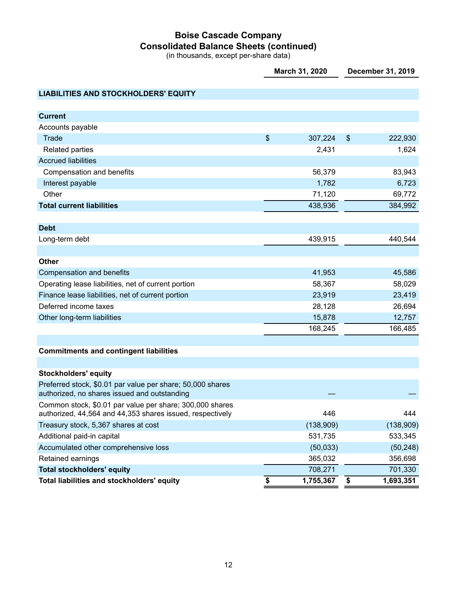# **Boise Cascade Company Consolidated Balance Sheets (continued)**

(in thousands, except per-share data)

|                                                            |               | March 31, 2020 | December 31, 2019 |           |  |
|------------------------------------------------------------|---------------|----------------|-------------------|-----------|--|
|                                                            |               |                |                   |           |  |
| <b>LIABILITIES AND STOCKHOLDERS' EQUITY</b>                |               |                |                   |           |  |
|                                                            |               |                |                   |           |  |
| <b>Current</b>                                             |               |                |                   |           |  |
| Accounts payable                                           |               |                |                   |           |  |
| Trade                                                      | $\frac{1}{2}$ | 307,224        | $\frac{2}{3}$     | 222,930   |  |
| <b>Related parties</b>                                     |               | 2,431          |                   | 1,624     |  |
| <b>Accrued liabilities</b>                                 |               |                |                   |           |  |
| Compensation and benefits                                  |               | 56,379         |                   | 83,943    |  |
| Interest payable                                           |               | 1,782          |                   | 6,723     |  |
| Other                                                      |               | 71,120         |                   | 69,772    |  |
| <b>Total current liabilities</b>                           |               | 438,936        |                   | 384,992   |  |
|                                                            |               |                |                   |           |  |
| <b>Debt</b>                                                |               |                |                   |           |  |
| Long-term debt                                             |               | 439,915        |                   | 440,544   |  |
|                                                            |               |                |                   |           |  |
| <b>Other</b>                                               |               |                |                   |           |  |
| Compensation and benefits                                  |               | 41,953         |                   | 45,586    |  |
| Operating lease liabilities, net of current portion        |               | 58,367         |                   | 58,029    |  |
| Finance lease liabilities, net of current portion          |               | 23,919         |                   | 23,419    |  |
| Deferred income taxes                                      |               | 28,128         |                   | 26,694    |  |
| Other long-term liabilities                                |               | 15,878         |                   | 12,757    |  |
|                                                            |               | 168,245        |                   | 166,485   |  |
|                                                            |               |                |                   |           |  |
| <b>Commitments and contingent liabilities</b>              |               |                |                   |           |  |
|                                                            |               |                |                   |           |  |
| <b>Stockholders' equity</b>                                |               |                |                   |           |  |
| Preferred stock, \$0.01 par value per share; 50,000 shares |               |                |                   |           |  |
| authorized, no shares issued and outstanding               |               |                |                   |           |  |
| Common stock, \$0.01 par value per share; 300,000 shares   |               |                |                   |           |  |
| authorized, 44,564 and 44,353 shares issued, respectively  |               | 446            |                   | 444       |  |
| Treasury stock, 5,367 shares at cost                       |               | (138,909)      |                   | (138,909) |  |
| Additional paid-in capital                                 |               | 531,735        |                   | 533,345   |  |
| Accumulated other comprehensive loss                       |               | (50,033)       |                   | (50, 248) |  |
| Retained earnings                                          |               | 365,032        |                   | 356,698   |  |
| <b>Total stockholders' equity</b>                          |               | 708,271        |                   | 701,330   |  |
| Total liabilities and stockholders' equity                 | \$            | 1,755,367      | \$                | 1,693,351 |  |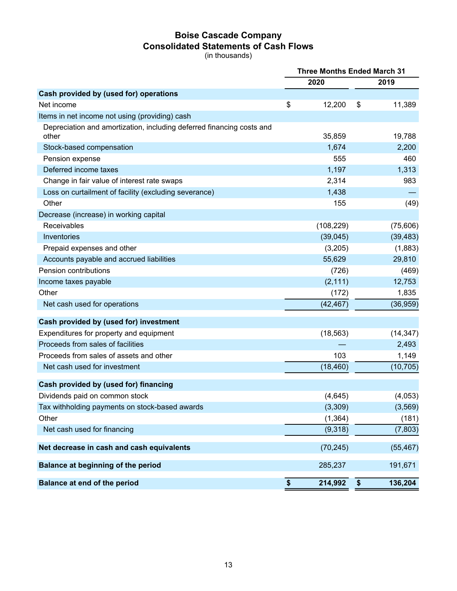# **Boise Cascade Company Consolidated Statements of Cash Flows**

(in thousands)

|                                                                       | <b>Three Months Ended March 31</b> |            |      |           |  |
|-----------------------------------------------------------------------|------------------------------------|------------|------|-----------|--|
|                                                                       |                                    | 2020       | 2019 |           |  |
| Cash provided by (used for) operations                                |                                    |            |      |           |  |
| Net income                                                            | \$                                 | 12,200     | \$   | 11,389    |  |
| Items in net income not using (providing) cash                        |                                    |            |      |           |  |
| Depreciation and amortization, including deferred financing costs and |                                    |            |      |           |  |
| other                                                                 |                                    | 35,859     |      | 19,788    |  |
| Stock-based compensation                                              |                                    | 1,674      |      | 2,200     |  |
| Pension expense                                                       |                                    | 555        |      | 460       |  |
| Deferred income taxes                                                 |                                    | 1,197      |      | 1,313     |  |
| Change in fair value of interest rate swaps                           |                                    | 2,314      |      | 983       |  |
| Loss on curtailment of facility (excluding severance)                 |                                    | 1,438      |      |           |  |
| Other                                                                 |                                    | 155        |      | (49)      |  |
| Decrease (increase) in working capital                                |                                    |            |      |           |  |
| Receivables                                                           |                                    | (108, 229) |      | (75,606)  |  |
| Inventories                                                           |                                    | (39,045)   |      | (39, 483) |  |
| Prepaid expenses and other                                            |                                    | (3,205)    |      | (1,883)   |  |
| Accounts payable and accrued liabilities                              |                                    | 55,629     |      | 29,810    |  |
| Pension contributions                                                 |                                    | (726)      |      | (469)     |  |
| Income taxes payable                                                  |                                    | (2, 111)   |      | 12,753    |  |
| Other                                                                 |                                    | (172)      |      | 1,835     |  |
| Net cash used for operations                                          |                                    | (42, 467)  |      | (36, 959) |  |
| Cash provided by (used for) investment                                |                                    |            |      |           |  |
| Expenditures for property and equipment                               |                                    | (18, 563)  |      | (14, 347) |  |
| Proceeds from sales of facilities                                     |                                    |            |      | 2,493     |  |
| Proceeds from sales of assets and other                               |                                    | 103        |      | 1,149     |  |
| Net cash used for investment                                          |                                    | (18, 460)  |      | (10, 705) |  |
| Cash provided by (used for) financing                                 |                                    |            |      |           |  |
| Dividends paid on common stock                                        |                                    | (4, 645)   |      | (4,053)   |  |
| Tax withholding payments on stock-based awards                        |                                    | (3,309)    |      | (3, 569)  |  |
| Other                                                                 |                                    | (1, 364)   |      | (181)     |  |
| Net cash used for financing                                           |                                    | (9,318)    |      | (7, 803)  |  |
| Net decrease in cash and cash equivalents                             |                                    | (70, 245)  |      | (55, 467) |  |
| Balance at beginning of the period                                    |                                    | 285,237    |      | 191,671   |  |
| Balance at end of the period                                          | \$                                 | 214,992    | \$   | 136,204   |  |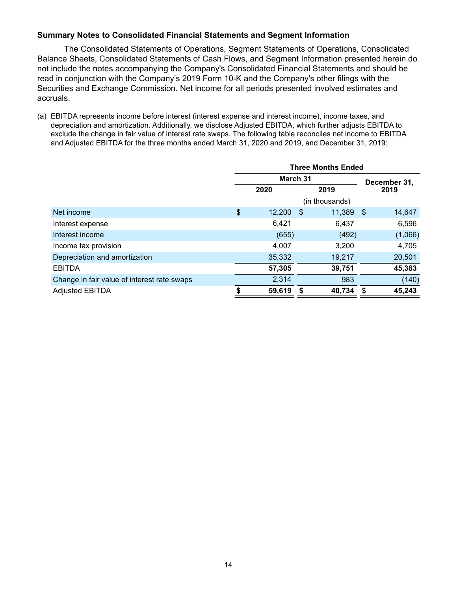### **Summary Notes to Consolidated Financial Statements and Segment Information**

The Consolidated Statements of Operations, Segment Statements of Operations, Consolidated Balance Sheets, Consolidated Statements of Cash Flows, and Segment Information presented herein do not include the notes accompanying the Company's Consolidated Financial Statements and should be read in conjunction with the Company's 2019 Form 10-K and the Company's other filings with the Securities and Exchange Commission. Net income for all periods presented involved estimates and accruals.

(a) EBITDA represents income before interest (interest expense and interest income), income taxes, and depreciation and amortization. Additionally, we disclose Adjusted EBITDA, which further adjusts EBITDA to exclude the change in fair value of interest rate swaps. The following table reconciles net income to EBITDA and Adjusted EBITDA for the three months ended March 31, 2020 and 2019, and December 31, 2019:

|                                             | <b>Three Months Ended</b> |        |      |                |              |         |  |  |  |
|---------------------------------------------|---------------------------|--------|------|----------------|--------------|---------|--|--|--|
|                                             | March 31                  |        |      |                | December 31, |         |  |  |  |
|                                             | 2020                      |        | 2019 |                | 2019         |         |  |  |  |
|                                             |                           |        |      | (in thousands) |              |         |  |  |  |
| Net income                                  | $\frac{2}{3}$             | 12,200 | \$   | 11,389         | - \$         | 14,647  |  |  |  |
| Interest expense                            |                           | 6,421  |      | 6,437          |              | 6,596   |  |  |  |
| Interest income                             |                           | (655)  |      | (492)          |              | (1,066) |  |  |  |
| Income tax provision                        |                           | 4,007  |      | 3.200          |              | 4,705   |  |  |  |
| Depreciation and amortization               |                           | 35,332 |      | 19,217         |              | 20,501  |  |  |  |
| <b>EBITDA</b>                               |                           | 57,305 |      | 39,751         |              | 45,383  |  |  |  |
| Change in fair value of interest rate swaps |                           | 2,314  |      | 983            |              | (140)   |  |  |  |
| <b>Adjusted EBITDA</b>                      | \$                        | 59,619 |      | 40,734         | \$           | 45,243  |  |  |  |